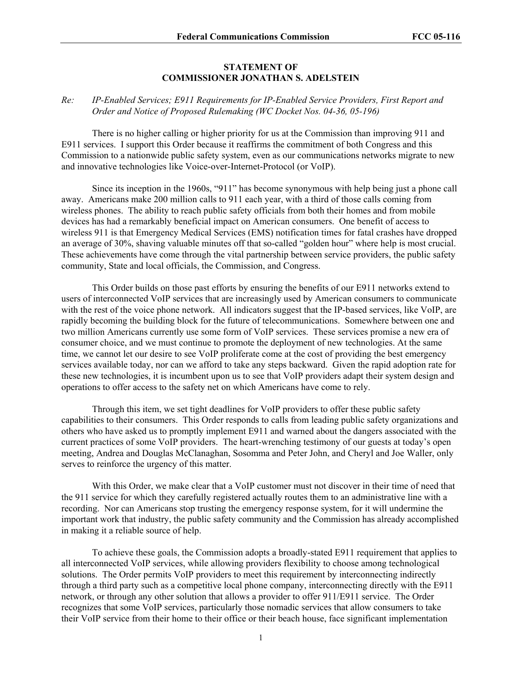## **STATEMENT OF COMMISSIONER JONATHAN S. ADELSTEIN**

## *Re: IP-Enabled Services; E911 Requirements for IP-Enabled Service Providers, First Report and Order and Notice of Proposed Rulemaking (WC Docket Nos. 04-36, 05-196)*

There is no higher calling or higher priority for us at the Commission than improving 911 and E911 services. I support this Order because it reaffirms the commitment of both Congress and this Commission to a nationwide public safety system, even as our communications networks migrate to new and innovative technologies like Voice-over-Internet-Protocol (or VoIP).

Since its inception in the 1960s, "911" has become synonymous with help being just a phone call away. Americans make 200 million calls to 911 each year, with a third of those calls coming from wireless phones. The ability to reach public safety officials from both their homes and from mobile devices has had a remarkably beneficial impact on American consumers. One benefit of access to wireless 911 is that Emergency Medical Services (EMS) notification times for fatal crashes have dropped an average of 30%, shaving valuable minutes off that so-called "golden hour" where help is most crucial. These achievements have come through the vital partnership between service providers, the public safety community, State and local officials, the Commission, and Congress.

This Order builds on those past efforts by ensuring the benefits of our E911 networks extend to users of interconnected VoIP services that are increasingly used by American consumers to communicate with the rest of the voice phone network. All indicators suggest that the IP-based services, like VoIP, are rapidly becoming the building block for the future of telecommunications. Somewhere between one and two million Americans currently use some form of VoIP services. These services promise a new era of consumer choice, and we must continue to promote the deployment of new technologies. At the same time, we cannot let our desire to see VoIP proliferate come at the cost of providing the best emergency services available today, nor can we afford to take any steps backward. Given the rapid adoption rate for these new technologies, it is incumbent upon us to see that VoIP providers adapt their system design and operations to offer access to the safety net on which Americans have come to rely.

Through this item, we set tight deadlines for VoIP providers to offer these public safety capabilities to their consumers. This Order responds to calls from leading public safety organizations and others who have asked us to promptly implement E911 and warned about the dangers associated with the current practices of some VoIP providers. The heart-wrenching testimony of our guests at today's open meeting, Andrea and Douglas McClanaghan, Sosomma and Peter John, and Cheryl and Joe Waller, only serves to reinforce the urgency of this matter.

With this Order, we make clear that a VoIP customer must not discover in their time of need that the 911 service for which they carefully registered actually routes them to an administrative line with a recording. Nor can Americans stop trusting the emergency response system, for it will undermine the important work that industry, the public safety community and the Commission has already accomplished in making it a reliable source of help.

To achieve these goals, the Commission adopts a broadly-stated E911 requirement that applies to all interconnected VoIP services, while allowing providers flexibility to choose among technological solutions. The Order permits VoIP providers to meet this requirement by interconnecting indirectly through a third party such as a competitive local phone company, interconnecting directly with the E911 network, or through any other solution that allows a provider to offer 911/E911 service. The Order recognizes that some VoIP services, particularly those nomadic services that allow consumers to take their VoIP service from their home to their office or their beach house, face significant implementation